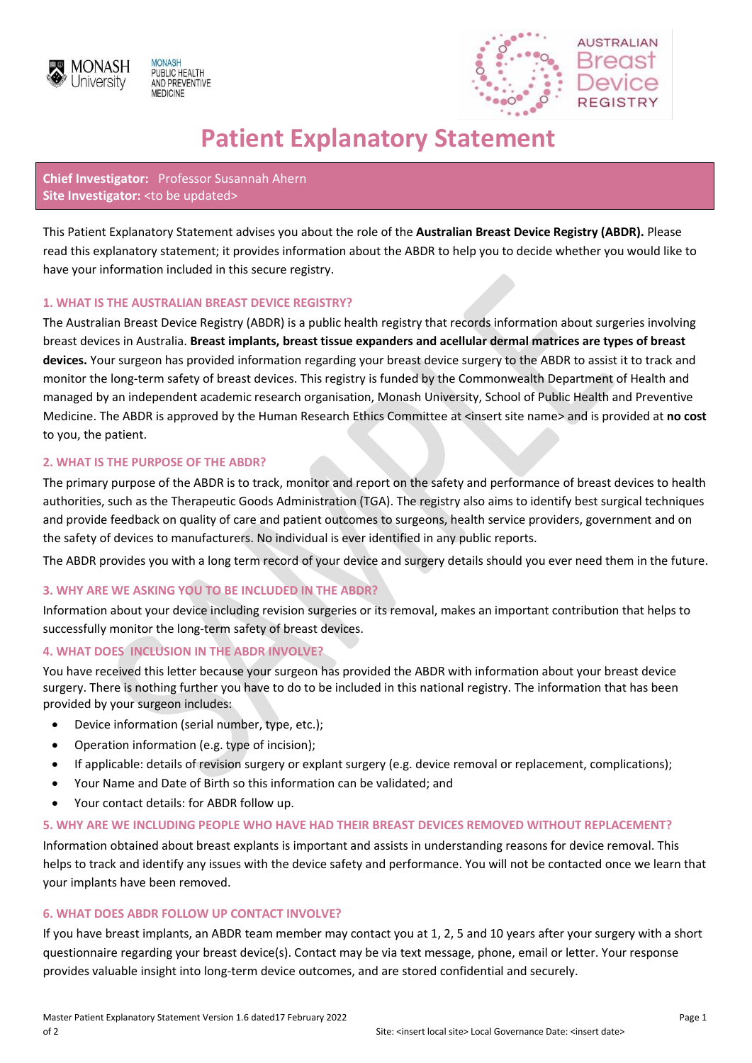





# **Patient Explanatory Statement**

# **Chief Investigator:** Professor Susannah Ahern Site Investigator: < to be updated>

This Patient Explanatory Statement advises you about the role of the **Australian Breast Device Registry (ABDR).** Please read this explanatory statement; it provides information about the ABDR to help you to decide whether you would like to have your information included in this secure registry.

# **1. WHAT IS THE AUSTRALIAN BREAST DEVICE REGISTRY?**

The Australian Breast Device Registry (ABDR) is a public health registry that records information about surgeries involving breast devices in Australia. **Breast implants, breast tissue expanders and acellular dermal matrices are types of breast devices.** Your surgeon has provided information regarding your breast device surgery to the ABDR to assist it to track and monitor the long-term safety of breast devices. This registry is funded by the Commonwealth Department of Health and managed by an independent academic research organisation, Monash University, School of Public Health and Preventive Medicine. The ABDR is approved by the Human Research Ethics Committee at <insert site name> and is provided at **no cost** to you, the patient.

# **2. WHAT IS THE PURPOSE OF THE ABDR?**

The primary purpose of the ABDR is to track, monitor and report on the safety and performance of breast devices to health authorities, such as the Therapeutic Goods Administration (TGA). The registry also aims to identify best surgical techniques and provide feedback on quality of care and patient outcomes to surgeons, health service providers, government and on the safety of devices to manufacturers. No individual is ever identified in any public reports.

The ABDR provides you with a long term record of your device and surgery details should you ever need them in the future.

# **3. WHY ARE WE ASKING YOU TO BE INCLUDED IN THE ABDR?**

Information about your device including revision surgeries or its removal, makes an important contribution that helps to successfully monitor the long-term safety of breast devices.

# **4. WHAT DOES INCLUSION IN THE ABDR INVOLVE?**

You have received this letter because your surgeon has provided the ABDR with information about your breast device surgery. There is nothing further you have to do to be included in this national registry. The information that has been provided by your surgeon includes:

- Device information (serial number, type, etc.);
- Operation information (e.g. type of incision);
- If applicable: details of revision surgery or explant surgery (e.g. device removal or replacement, complications);
- Your Name and Date of Birth so this information can be validated; and
- Your contact details: for ABDR follow up.

# **5. WHY ARE WE INCLUDING PEOPLE WHO HAVE HAD THEIR BREAST DEVICES REMOVED WITHOUT REPLACEMENT?**

Information obtained about breast explants is important and assists in understanding reasons for device removal. This helps to track and identify any issues with the device safety and performance. You will not be contacted once we learn that your implants have been removed.

# **6. WHAT DOES ABDR FOLLOW UP CONTACT INVOLVE?**

If you have breast implants, an ABDR team member may contact you at 1, 2, 5 and 10 years after your surgery with a short questionnaire regarding your breast device(s). Contact may be via text message, phone, email or letter. Your response provides valuable insight into long-term device outcomes, and are stored confidential and securely.